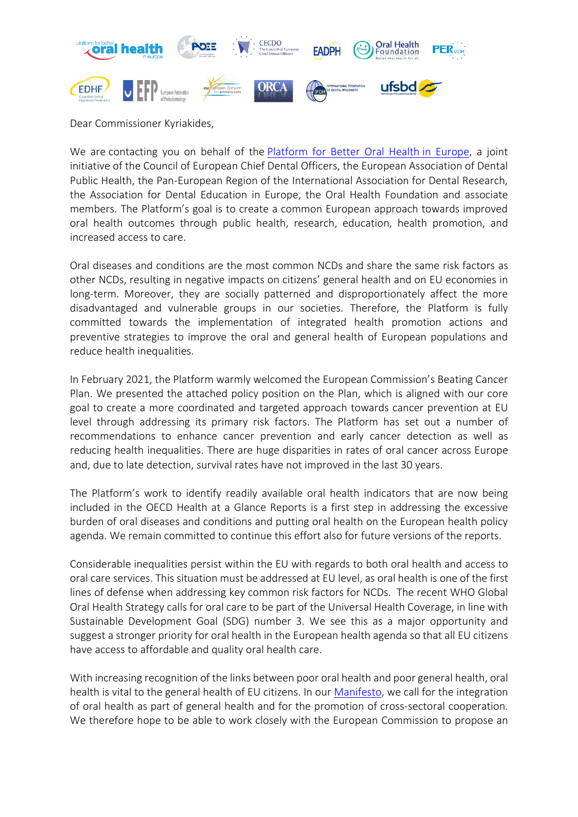

Dear Commissioner Kyriakides,

We are contacting you on behalf of the [Platform for Better Oral Health](http://www.oralhealthplatform.eu/) in Europe, a joint initiative of the Council of European Chief Dental Officers, the European Association of Dental Public Health, the Pan-European Region of the International Association for Dental Research, the Association for Dental Education in Europe, the Oral Health Foundation and associate members. The Platform's goal is to create a common European approach towards improved oral health outcomes through public health, research, education, health promotion, and increased access to care.

Oral diseases and conditions are the most common NCDs and share the same risk factors as other NCDs, resulting in negative impacts on citizens' general health and on EU economies in long-term. Moreover, they are socially patterned and disproportionately affect the more disadvantaged and vulnerable groups in our societies. Therefore, the Platform is fully committed towards the implementation of integrated health promotion actions and preventive strategies to improve the oral and general health of European populations and reduce health inequalities.

In February 2021, the Platform warmly welcomed the European Commission's Beating Cancer Plan. We presented the attached policy position on the Plan, which is aligned with our core goal to create a more coordinated and targeted approach towards cancer prevention at EU level through addressing its primary risk factors. The Platform has set out a number of recommendations to enhance cancer prevention and early cancer detection as well as reducing health inequalities. There are huge disparities in rates of oral cancer across Europe and, due to late detection, survival rates have not improved in the last 30 years.

The Platform's work to identify readily available oral health indicators that are now being included in the OECD Health at a Glance Reports is a first step in addressing the excessive burden of oral diseases and conditions and putting oral health on the European health policy agenda. We remain committed to continue this effort also for future versions of the reports.

Considerable inequalities persist within the EU with regards to both oral health and access to oral care services. This situation must be addressed at EU level, as oral health is one of the first lines of defense when addressing key common risk factors for NCDs. The recent WHO Global Oral Health Strategy calls for oral care to be part of the Universal Health Coverage, in line with Sustainable Development Goal (SDG) number 3. We see this as a major opportunity and suggest a stronger priority for oral health in the European health agenda so that all EU citizens have access to affordable and quality oral health care.

With increasing recognition of the links between poor oral health and poor general health, oral health is vital to the general health of EU citizens. In our [Manifesto,](http://www.oralhealthplatform.eu/our-work/our-manifesto/) we call for the integration of oral health as part of general health and for the promotion of cross-sectoral cooperation. We therefore hope to be able to work closely with the European Commission to propose an